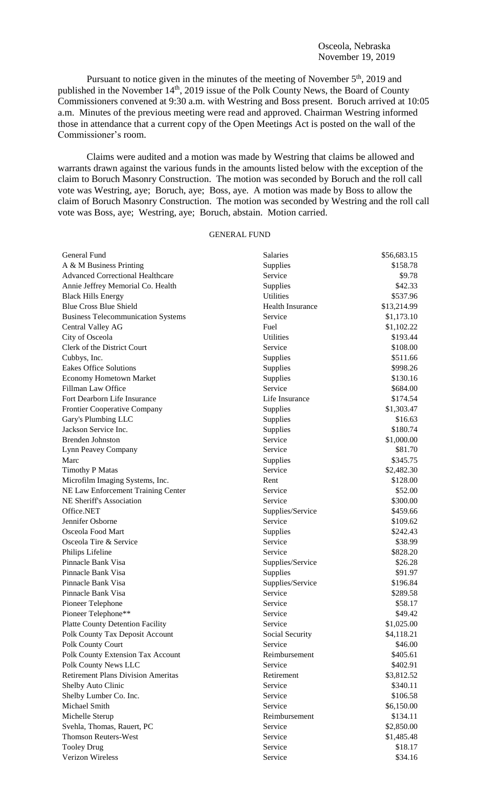Pursuant to notice given in the minutes of the meeting of November  $5<sup>th</sup>$ , 2019 and published in the November 14<sup>th</sup>, 2019 issue of the Polk County News, the Board of County Commissioners convened at 9:30 a.m. with Westring and Boss present. Boruch arrived at 10:05 a.m. Minutes of the previous meeting were read and approved. Chairman Westring informed those in attendance that a current copy of the Open Meetings Act is posted on the wall of the Commissioner's room.

Claims were audited and a motion was made by Westring that claims be allowed and warrants drawn against the various funds in the amounts listed below with the exception of the claim to Boruch Masonry Construction. The motion was seconded by Boruch and the roll call vote was Westring, aye; Boruch, aye; Boss, aye. A motion was made by Boss to allow the claim of Boruch Masonry Construction. The motion was seconded by Westring and the roll call vote was Boss, aye; Westring, aye; Boruch, abstain. Motion carried.

## GENERAL FUND

| General Fund                              | Salaries                | \$56,683.15 |
|-------------------------------------------|-------------------------|-------------|
| A & M Business Printing                   | Supplies                | \$158.78    |
| <b>Advanced Correctional Healthcare</b>   | Service                 | \$9.78      |
| Annie Jeffrey Memorial Co. Health         | Supplies                | \$42.33     |
| <b>Black Hills Energy</b>                 | Utilities               | \$537.96    |
| <b>Blue Cross Blue Shield</b>             | <b>Health Insurance</b> | \$13,214.99 |
| <b>Business Telecommunication Systems</b> | Service                 | \$1,173.10  |
| Central Valley AG                         | Fuel                    | \$1,102.22  |
| City of Osceola                           | Utilities               | \$193.44    |
| Clerk of the District Court               | Service                 | \$108.00    |
| Cubbys, Inc.                              | Supplies                | \$511.66    |
| <b>Eakes Office Solutions</b>             | Supplies                | \$998.26    |
| <b>Economy Hometown Market</b>            | Supplies                | \$130.16    |
| Fillman Law Office                        | Service                 | \$684.00    |
| Fort Dearborn Life Insurance              | Life Insurance          | \$174.54    |
| Frontier Cooperative Company              | Supplies                | \$1,303.47  |
| Gary's Plumbing LLC                       | Supplies                | \$16.63     |
| Jackson Service Inc.                      | Supplies                | \$180.74    |
| <b>Brenden Johnston</b>                   | Service                 | \$1,000.00  |
| Lynn Peavey Company                       | Service                 | \$81.70     |
| Marc                                      | Supplies                | \$345.75    |
| <b>Timothy P Matas</b>                    | Service                 | \$2,482.30  |
| Microfilm Imaging Systems, Inc.           | Rent                    | \$128.00    |
| NE Law Enforcement Training Center        | Service                 | \$52.00     |
| NE Sheriff's Association                  | Service                 | \$300.00    |
| Office.NET                                | Supplies/Service        | \$459.66    |
| Jennifer Osborne                          | Service                 | \$109.62    |
| Osceola Food Mart                         | Supplies                | \$242.43    |
| Osceola Tire & Service                    | Service                 | \$38.99     |
| Philips Lifeline                          | Service                 | \$828.20    |
| Pinnacle Bank Visa                        | Supplies/Service        | \$26.28     |
| Pinnacle Bank Visa                        | Supplies                | \$91.97     |
| Pinnacle Bank Visa                        | Supplies/Service        | \$196.84    |
| Pinnacle Bank Visa                        | Service                 | \$289.58    |
| Pioneer Telephone                         | Service                 | \$58.17     |
| Pioneer Telephone**                       | Service                 | \$49.42     |
| <b>Platte County Detention Facility</b>   | Service                 | \$1,025.00  |
| Polk County Tax Deposit Account           | Social Security         | \$4,118.21  |
| Polk County Court                         | Service                 | \$46.00     |
| Polk County Extension Tax Account         | Reimbursement           | \$405.61    |
| Polk County News LLC                      | Service                 | \$402.91    |
| <b>Retirement Plans Division Ameritas</b> | Retirement              | \$3,812.52  |
| Shelby Auto Clinic                        | Service                 | \$340.11    |
| Shelby Lumber Co. Inc.                    | Service                 | \$106.58    |
| Michael Smith                             | Service                 | \$6,150.00  |
| Michelle Sterup                           | Reimbursement           | \$134.11    |
| Svehla, Thomas, Rauert, PC                | Service                 | \$2,850.00  |
| <b>Thomson Reuters-West</b>               | Service                 | \$1,485.48  |
| <b>Tooley Drug</b>                        | Service                 | \$18.17     |
| Verizon Wireless                          | Service                 | \$34.16     |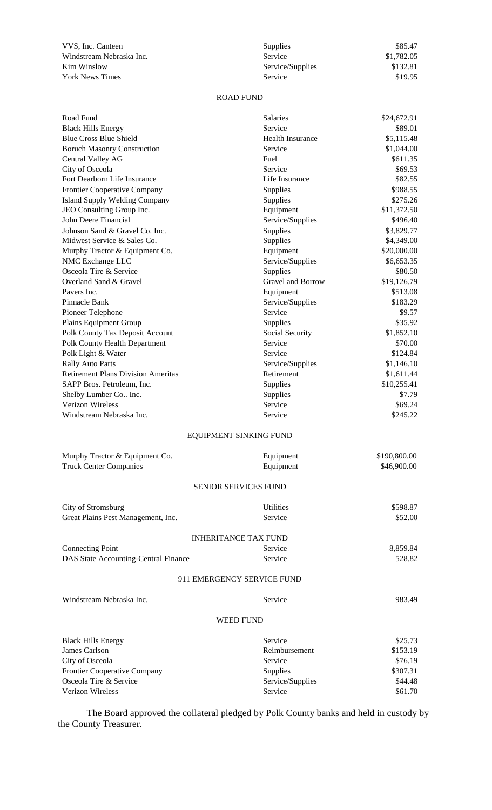| VVS, Inc. Canteen        | <b>Supplies</b>  | \$85.47    |
|--------------------------|------------------|------------|
| Windstream Nebraska Inc. | Service          | \$1,782.05 |
| Kim Winslow              | Service/Supplies | \$132.81   |
| <b>York News Times</b>   | <b>Service</b>   | \$19.95    |

| VVS, Inc. Canteen             | <b>Supplies</b>  | \$85.47    |
|-------------------------------|------------------|------------|
| Windstream Nebraska Inc.      | <b>Service</b>   | \$1,782.05 |
| Kim Winslow                   | Service/Supplies | \$132.81   |
| $V_{\alpha\alpha}$ More Times | $C2 + C2$        | 0.100C     |

## ROAD FUND

| Road Fund                                 | Salaries                    | \$24,672.91  |
|-------------------------------------------|-----------------------------|--------------|
| <b>Black Hills Energy</b>                 | Service                     | \$89.01      |
| <b>Blue Cross Blue Shield</b>             | Health Insurance            | \$5,115.48   |
| <b>Boruch Masonry Construction</b>        | Service                     | \$1,044.00   |
| Central Valley AG                         | Fuel                        | \$611.35     |
| City of Osceola                           | Service                     | \$69.53      |
| Fort Dearborn Life Insurance              | Life Insurance              | \$82.55      |
| Frontier Cooperative Company              | Supplies                    | \$988.55     |
| <b>Island Supply Welding Company</b>      | Supplies                    | \$275.26     |
| JEO Consulting Group Inc.                 | Equipment                   | \$11,372.50  |
| John Deere Financial                      | Service/Supplies            | \$496.40     |
| Johnson Sand & Gravel Co. Inc.            | Supplies                    | \$3,829.77   |
| Midwest Service & Sales Co.               | Supplies                    | \$4,349.00   |
| Murphy Tractor & Equipment Co.            | Equipment                   | \$20,000.00  |
| NMC Exchange LLC                          | Service/Supplies            | \$6,653.35   |
| Osceola Tire & Service                    | Supplies                    | \$80.50      |
| Overland Sand & Gravel                    | Gravel and Borrow           | \$19,126.79  |
| Pavers Inc.                               | Equipment                   | \$513.08     |
| Pinnacle Bank                             | Service/Supplies            | \$183.29     |
| Pioneer Telephone                         | Service                     | \$9.57       |
| Plains Equipment Group                    | Supplies                    | \$35.92      |
| Polk County Tax Deposit Account           | Social Security             | \$1,852.10   |
| <b>Polk County Health Department</b>      | Service                     | \$70.00      |
| Polk Light & Water                        | Service                     | \$124.84     |
| <b>Rally Auto Parts</b>                   | Service/Supplies            | \$1,146.10   |
| <b>Retirement Plans Division Ameritas</b> | Retirement                  | \$1,611.44   |
| SAPP Bros. Petroleum, Inc.                | Supplies                    | \$10,255.41  |
| Shelby Lumber Co Inc.                     | Supplies                    | \$7.79       |
| <b>Verizon Wireless</b>                   | Service                     | \$69.24      |
| Windstream Nebraska Inc.                  | Service                     | \$245.22     |
|                                           | EQUIPMENT SINKING FUND      |              |
| Murphy Tractor & Equipment Co.            | Equipment                   | \$190,800.00 |
| <b>Truck Center Companies</b>             | Equipment                   | \$46,900.00  |
|                                           | SENIOR SERVICES FUND        |              |
| City of Stromsburg                        | <b>Utilities</b>            | \$598.87     |
| Great Plains Pest Management, Inc.        | Service                     | \$52.00      |
|                                           | <b>INHERITANCE TAX FUND</b> |              |
| <b>Connecting Point</b>                   | Service                     | 8,859.84     |
| DAS State Accounting-Central Finance      | Service                     | 528.82       |
|                                           |                             |              |
|                                           | 911 EMERGENCY SERVICE FUND  |              |
| Windstream Nebraska Inc.                  | Service                     | 983.49       |
|                                           | <b>WEED FUND</b>            |              |
| <b>Black Hills Energy</b>                 | Service                     | \$25.73      |
| James Carlson                             | Reimbursement               | \$153.19     |
| City of Osceola                           | Service                     | \$76.19      |
| Frontier Cooperative Company              | Supplies                    | \$307.31     |
| Osceola Tire & Service                    | Service/Supplies            | \$44.48      |
| Verizon Wireless                          | Service                     | \$61.70      |
|                                           |                             |              |

The Board approved the collateral pledged by Polk County banks and held in custody by the County Treasurer.